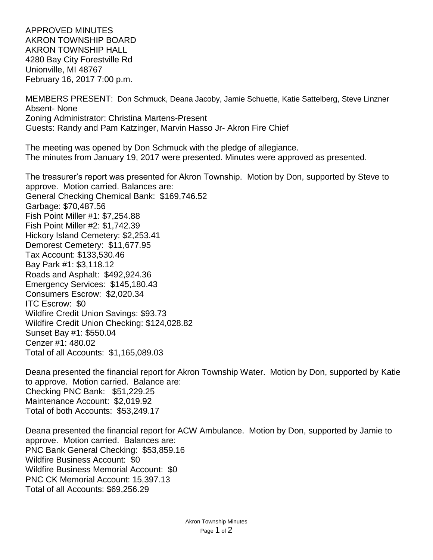APPROVED MINUTES AKRON TOWNSHIP BOARD AKRON TOWNSHIP HALL 4280 Bay City Forestville Rd Unionville, MI 48767 February 16, 2017 7:00 p.m.

MEMBERS PRESENT: Don Schmuck, Deana Jacoby, Jamie Schuette, Katie Sattelberg, Steve Linzner Absent- None Zoning Administrator: Christina Martens-Present Guests: Randy and Pam Katzinger, Marvin Hasso Jr- Akron Fire Chief

The meeting was opened by Don Schmuck with the pledge of allegiance. The minutes from January 19, 2017 were presented. Minutes were approved as presented.

The treasurer's report was presented for Akron Township. Motion by Don, supported by Steve to approve. Motion carried. Balances are: General Checking Chemical Bank: \$169,746.52 Garbage: \$70,487.56 Fish Point Miller #1: \$7,254.88 Fish Point Miller #2: \$1,742.39 Hickory Island Cemetery: \$2,253.41 Demorest Cemetery: \$11,677.95 Tax Account: \$133,530.46 Bay Park #1: \$3,118.12 Roads and Asphalt: \$492,924.36 Emergency Services: \$145,180.43 Consumers Escrow: \$2,020.34 ITC Escrow: \$0 Wildfire Credit Union Savings: \$93.73 Wildfire Credit Union Checking: \$124,028.82 Sunset Bay #1: \$550.04 Cenzer #1: 480.02 Total of all Accounts: \$1,165,089.03

Deana presented the financial report for Akron Township Water. Motion by Don, supported by Katie to approve. Motion carried. Balance are: Checking PNC Bank: \$51,229.25 Maintenance Account: \$2,019.92 Total of both Accounts: \$53,249.17

Deana presented the financial report for ACW Ambulance. Motion by Don, supported by Jamie to approve. Motion carried. Balances are: PNC Bank General Checking: \$53,859.16 Wildfire Business Account: \$0 Wildfire Business Memorial Account: \$0 PNC CK Memorial Account: 15,397.13 Total of all Accounts: \$69,256.29